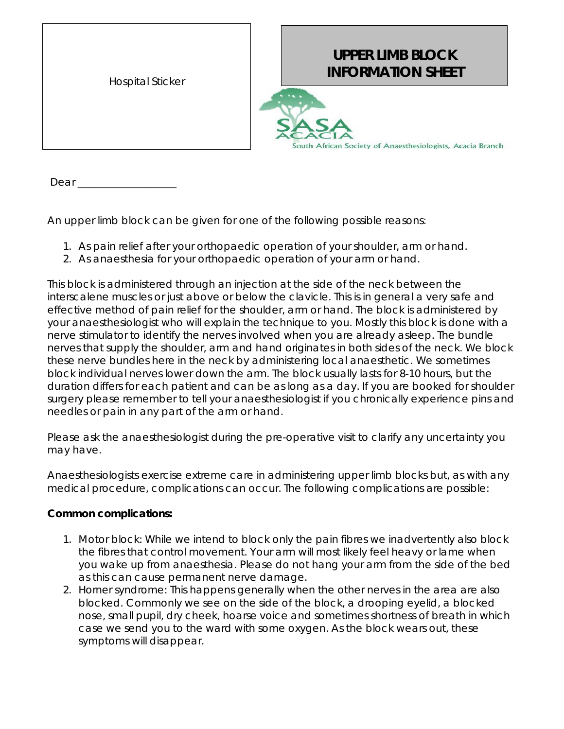| <b>Hospital Sticker</b> |
|-------------------------|
|                         |

## **UPPER LIMB BLOCK INFORMATION SHEET**



Dear  $\overline{\phantom{a}}$ 

An upper limb block can be given for one of the following possible reasons:

- 1. As pain relief after your orthopaedic operation of your shoulder, arm or hand.
- 2. As anaesthesia for your orthopaedic operation of your arm or hand.

This block is administered through an injection at the side of the neck between the interscalene muscles or just above or below the clavicle. This is in general a very safe and effective method of pain relief for the shoulder, arm or hand. The block is administered by your anaesthesiologist who will explain the technique to you. Mostly this block is done with a nerve stimulator to identify the nerves involved when you are already asleep. The bundle nerves that supply the shoulder, arm and hand originates in both sides of the neck. We block these nerve bundles here in the neck by administering local anaesthetic. We sometimes block individual nerves lower down the arm. The block usually lasts for 8-10 hours, but the duration differs for each patient and can be as long as a day. If you are booked for shoulder surgery please remember to tell your anaesthesiologist if you chronically experience pins and needles or pain in any part of the arm or hand.

Please ask the anaesthesiologist during the pre-operative visit to clarify any uncertainty you may have.

Anaesthesiologists exercise extreme care in administering upper limb blocks but, as with any medical procedure, complications can occur. The following complications are possible:

## **Common complications:**

- 1. *Motor block*: While we intend to block only the pain fibres we inadvertently also block the fibres that control movement. Your arm will most likely feel heavy or lame when you wake up from anaesthesia. Please do not hang your arm from the side of the bed as this can cause permanent nerve damage.
- 2. *Horner syndrome:* This happens generally when the other nerves in the area are also blocked. Commonly we see on the side of the block, a drooping eyelid, a blocked nose, small pupil, dry cheek, hoarse voice and sometimes shortness of breath in which case we send you to the ward with some oxygen*.* As the block wears out, these symptoms will disappear.